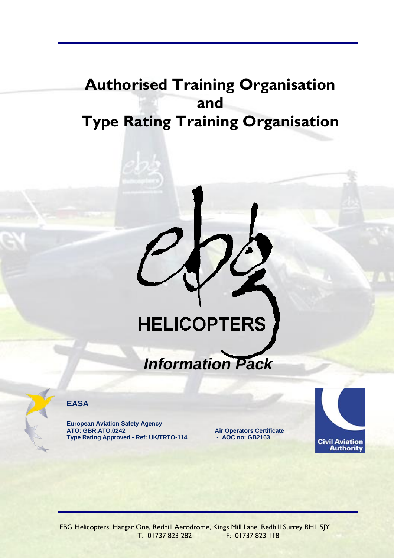# **Authorised Training Organisation and Type Rating Training Organisation**

# **HELICOPTERS**

# *Information Pack*



**EASA**

**European Aviation Safety Agency ATO: GBR.ATO.0242 Type Rating Approved - Ref: UK/TRTO-114**

**Air Operators Certificate - AOC no: GB2163**



EBG Helicopters, Hangar One, Redhill Aerodrome, Kings Mill Lane, Redhill Surrey RH1 5JY T: 01737 823 282 F: 01737 823 118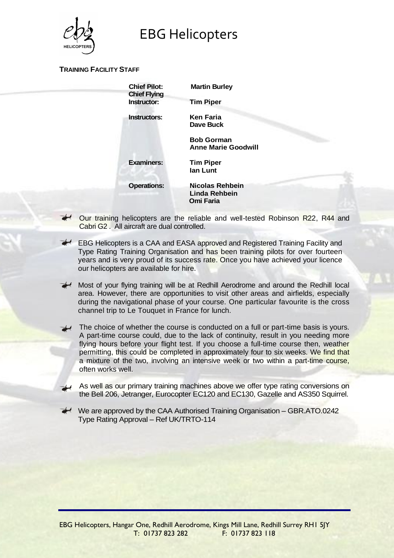

#### **TRAINING FACILITY STAFF**

| <b>Chief Pilot:</b><br><b>Chief Flying</b><br>Instructor: | <b>Martin Burley</b><br><b>Tim Piper</b>             |
|-----------------------------------------------------------|------------------------------------------------------|
| <b>Instructors:</b>                                       | <b>Ken Faria</b><br>Dave Buck                        |
|                                                           | <b>Bob Gorman</b><br><b>Anne Marie Goodwill</b>      |
| <b>Examiners:</b>                                         | <b>Tim Piper</b><br>lan Lunt                         |
| <b>Operations:</b>                                        | Nicolas Rehbein<br>Linda Rehbein<br><b>Omi Faria</b> |
|                                                           |                                                      |

- Our training helicopters are the reliable and well-tested Robinson R22, R44 and Cabri G2 . All aircraft are dual controlled.
- EBG Helicopters is a CAA and EASA approved and Registered Training Facility and Type Rating Training Organisation and has been training pilots for over fourteen years and is very proud of its success rate. Once you have achieved your licence our helicopters are available for hire.
	- Most of your flying training will be at Redhill Aerodrome and around the Redhill local area. However, there are opportunities to visit other areas and airfields, especially during the navigational phase of your course. One particular favourite is the cross channel trip to Le Touquet in France for lunch.
	- The choice of whether the course is conducted on a full or part-time basis is yours. A part-time course could, due to the lack of continuity, result in you needing more flying hours before your flight test. If you choose a full-time course then, weather permitting, this could be completed in approximately four to six weeks. We find that a mixture of the two, involving an intensive week or two within a part-time course, often works well.
	- As well as our primary training machines above we offer type rating conversions on the Bell 206, Jetranger, Eurocopter EC120 and EC130, Gazelle and AS350 Squirrel.
	- $\leq$  We are approved by the CAA Authorised Training Organisation GBR.ATO.0242 Type Rating Approval – Ref UK/TRTO-114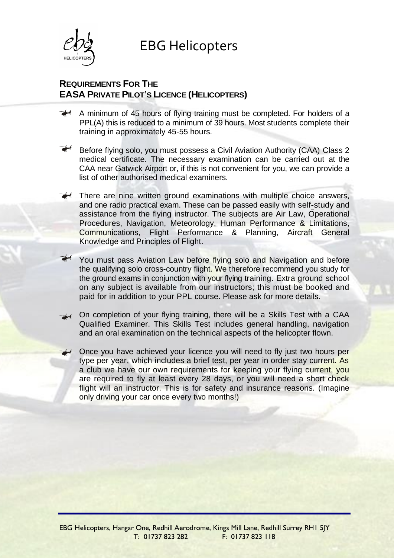

# **REQUIREMENTS FOR THE EASA PRIVATE PILOT'S LICENCE (HELICOPTERS)**

- $\rightarrow$  A minimum of 45 hours of flying training must be completed. For holders of a PPL(A) this is reduced to a minimum of 39 hours. Most students complete their training in approximately 45-55 hours.
- Before flying solo, you must possess a Civil Aviation Authority (CAA) Class 2 medical certificate. The necessary examination can be carried out at the CAA near Gatwick Airport or, if this is not convenient for you, we can provide a list of other authorised medical examiners.
- There are nine written ground examinations with multiple choice answers, and one radio practical exam. These can be passed easily with self**-**study and assistance from the flying instructor. The subjects are Air Law, Operational Procedures, Navigation, Meteorology, Human Performance & Limitations, Communications, Flight Performance & Planning, Aircraft General Knowledge and Principles of Flight.
	- You must pass Aviation Law before flying solo and Navigation and before the qualifying solo cross-country flight. We therefore recommend you study for the ground exams in conjunction with your flying training. Extra ground school on any subject is available from our instructors; this must be booked and paid for in addition to your PPL course. Please ask for more details.
- On completion of your flying training, there will be a Skills Test with a CAA Qualified Examiner. This Skills Test includes general handling, navigation and an oral examination on the technical aspects of the helicopter flown.
- Once you have achieved your licence you will need to fly just two hours per type per year, which includes a brief test, per year in order stay current. As a club we have our own requirements for keeping your flying current, you are required to fly at least every 28 days, or you will need a short check flight will an instructor. This is for safety and insurance reasons. (Imagine only driving your car once every two months!)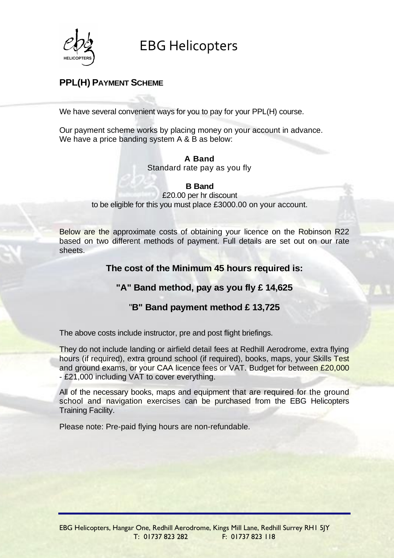

# **PPL(H) PAYMENT SCHEME**

We have several convenient ways for you to pay for your PPL(H) course.

Our payment scheme works by placing money on your account in advance. We have a price banding system A & B as below:

#### **A Band**

Standard rate pay as you fly

**B Band**

£20.00 per hr discount to be eligible for this you must place £3000.00 on your account.

Below are the approximate costs of obtaining your licence on the Robinson R22 based on two different methods of payment. Full details are set out on our rate sheets.

## **The cost of the Minimum 45 hours required is:**

## **"A" Band method, pay as you fly £ 14,625**

# "**B" Band payment method £ 13,725**

The above costs include instructor, pre and post flight briefings.

They do not include landing or airfield detail fees at Redhill Aerodrome, extra flying hours (if required), extra ground school (if required), books, maps, your Skills Test and ground exams, or your CAA licence fees or VAT. Budget for between £20,000 - £21,000 including VAT to cover everything.

All of the necessary books, maps and equipment that are required for the ground school and navigation exercises can be purchased from the EBG Helicopters Training Facility.

Please note: Pre-paid flying hours are non-refundable.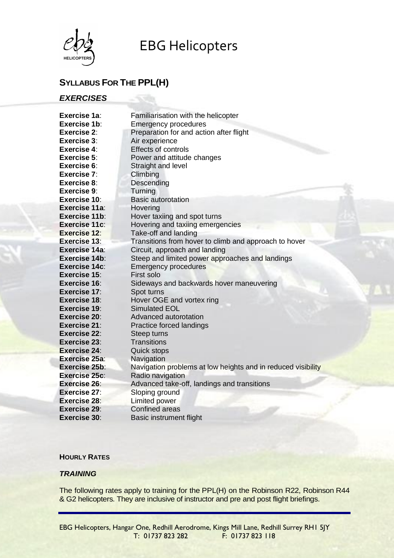

# **SYLLABUS FOR THE PPL(H)**

## *EXERCISES*

| Exercise 1a:         | Familiarisation with the helicopter                          |
|----------------------|--------------------------------------------------------------|
| Exercise 1b:         | <b>Emergency procedures</b>                                  |
| Exercise 2:          | Preparation for and action after flight                      |
| <b>Exercise 3:</b>   | Air experience                                               |
| Exercise 4:          | <b>Effects of controls</b>                                   |
| <b>Exercise 5:</b>   | Power and attitude changes                                   |
| Exercise 6:          | Straight and level                                           |
| Exercise 7:          | Climbing                                                     |
| Exercise 8:          | Descending                                                   |
| Exercise 9:          | Turning                                                      |
| <b>Exercise 10:</b>  | <b>Basic autorotation</b>                                    |
| Exercise 11a:        | Hovering                                                     |
| Exercise 11b:        | Hover taxiing and spot turns                                 |
| Exercise 11c:        | Hovering and taxiing emergencies                             |
| <b>Exercise 12:</b>  | Take-off and landing                                         |
| <b>Exercise 13:</b>  | Transitions from hover to climb and approach to hover        |
| Exercise 14a:        | Circuit, approach and landing                                |
| Exercise 14b:        | Steep and limited power approaches and landings              |
| Exercise 14c:        | <b>Emergency procedures</b>                                  |
| Exercise 15:         | First solo                                                   |
| <b>Exercise 16:</b>  | Sideways and backwards hover maneuvering                     |
| <b>Exercise 17:</b>  | Spot turns                                                   |
| <b>Exercise 18:</b>  | Hover OGE and vortex ring                                    |
| <b>Exercise 19:</b>  | <b>Simulated EOL</b>                                         |
| <b>Exercise 20:</b>  | Advanced autorotation                                        |
| Exercise 21:         | Practice forced landings                                     |
| <b>Exercise 22:</b>  | Steep turns                                                  |
| <b>Exercise 23:</b>  | <b>Transitions</b>                                           |
| <b>Exercise 24:</b>  | <b>Quick stops</b>                                           |
| <b>Exercise 25a:</b> | Navigation                                                   |
| <b>Exercise 25b:</b> | Navigation problems at low heights and in reduced visibility |
| Exercise 25c:        | Radio navigation                                             |
| Exercise 26:         | Advanced take-off, landings and transitions                  |
| Exercise 27:         | Sloping ground                                               |
| <b>Exercise 28:</b>  | Limited power                                                |
| <b>Exercise 29:</b>  | <b>Confined areas</b>                                        |
| <b>Exercise 30:</b>  | <b>Basic instrument flight</b>                               |

#### **HOURLY RATES**

#### *TRAINING*

The following rates apply to training for the PPL(H) on the Robinson R22, Robinson R44 & G2 helicopters. They are inclusive of instructor and pre and post flight briefings.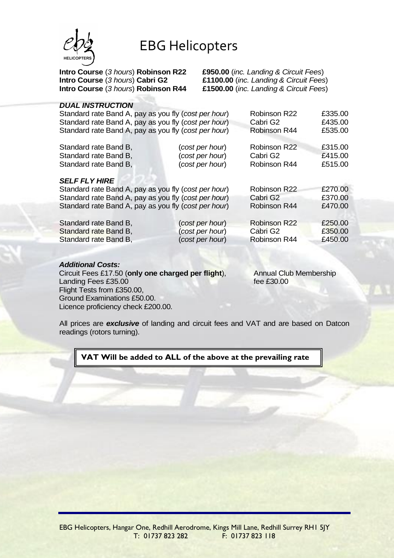

**Intro Course** (*3 hours*) **Robinson R22 £950.00** (*inc. Landing & Circuit Fees*) **Intro Course** (*3 hours*) **Cabri G2 £1100.00** (*inc. Landing & Circuit Fees*) **Intro Course** (*3 hours*) **Robinson R44 £1500.00** (*inc. Landing & Circuit Fees*)

#### *DUAL INSTRUCTION*

| Standard rate Band A, pay as you fly (cost per hour)<br>Standard rate Band A, pay as you fly (cost per hour) |                 | Robinson R22<br>Cabri G2 | £335.00<br>£435.00 |
|--------------------------------------------------------------------------------------------------------------|-----------------|--------------------------|--------------------|
|                                                                                                              |                 |                          |                    |
| Standard rate Band A, pay as you fly (cost per hour)                                                         |                 | Robinson R44             | £535.00            |
| Standard rate Band B,                                                                                        | (cost per hour) | <b>Robinson R22</b>      | £315.00            |
| Standard rate Band B,                                                                                        | (cost per hour) | Cabri G2                 | £415.00            |
| Standard rate Band B,                                                                                        | (cost per hour) | Robinson R44             | £515.00            |
| <b>SELF FLY HIRE</b>                                                                                         |                 |                          |                    |
| Standard rate Band A, pay as you fly (cost per hour)                                                         |                 | Robinson R22             | £270.00            |
| Standard rate Band A, pay as you fly (cost per hour)                                                         |                 | Cabri G <sub>2</sub>     | £370.00            |
| Standard rate Band A, pay as you fly (cost per hour)                                                         |                 | Robinson R44             | £470.00            |
| Standard rate Band B,                                                                                        | (cost per hour) | <b>Robinson R22</b>      | £250.00            |
| Standard rate Band B,                                                                                        | (cost per hour) | Cabri G <sub>2</sub>     | £350.00            |
| Standard rate Band B,                                                                                        | (cost per hour) | Robinson R44             | £450.00            |
|                                                                                                              |                 |                          |                    |

#### *Additional Costs:*

Circuit Fees £17.50 (**only one charged per flight**), Landing Fees £35.00 Flight Tests from £350.00, Ground Examinations £50.00. Licence proficiency check £200.00. Annual Club Membership fee £30.00

All prices are *exclusive* of landing and circuit fees and VAT and are based on Datcon readings (rotors turning).

**VAT Will be added to ALL of the above at the prevailing rate**